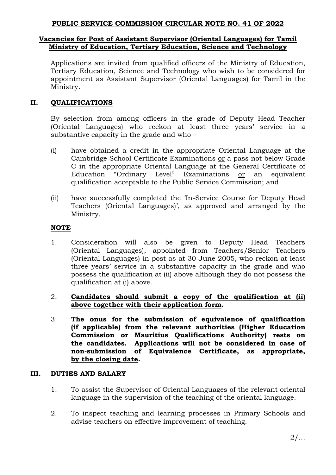# **PUBLIC SERVICE COMMISSION CIRCULAR NOTE NO. 41 OF 2022**

#### **Vacancies for Post of Assistant Supervisor (Oriental Languages) for Tamil Ministry of Education, Tertiary Education, Science and Technology**

Applications are invited from qualified officers of the Ministry of Education, Tertiary Education, Science and Technology who wish to be considered for appointment as Assistant Supervisor (Oriental Languages) for Tamil in the Ministry.

# **II. QUALIFICATIONS**

By selection from among officers in the grade of Deputy Head Teacher (Oriental Languages) who reckon at least three years" service in a substantive capacity in the grade and who –

- (i) have obtained a credit in the appropriate Oriental Language at the Cambridge School Certificate Examinations or a pass not below Grade C in the appropriate Oriental Language at the General Certificate of Education "Ordinary Level" Examinations or an equivalent qualification acceptable to the Public Service Commission; and
- (ii) have successfully completed the "In-Service Course for Deputy Head Teachers (Oriental Languages)', as approved and arranged by the Ministry.

### **NOTE**

- 1. Consideration will also be given to Deputy Head Teachers (Oriental Languages), appointed from Teachers/Senior Teachers (Oriental Languages) in post as at 30 June 2005, who reckon at least three years" service in a substantive capacity in the grade and who possess the qualification at (ii) above although they do not possess the qualification at (i) above.
- 2. **Candidates should submit a copy of the qualification at (ii) above together with their application form.**
- 3. **The onus for the submission of equivalence of qualification (if applicable) from the relevant authorities (Higher Education Commission or Mauritius Qualifications Authority) rests on the candidates. Applications will not be considered in case of non-submission of Equivalence Certificate, as appropriate, by the closing date.**

### **III. DUTIES AND SALARY**

- 1. To assist the Supervisor of Oriental Languages of the relevant oriental language in the supervision of the teaching of the oriental language.
- 2. To inspect teaching and learning processes in Primary Schools and advise teachers on effective improvement of teaching.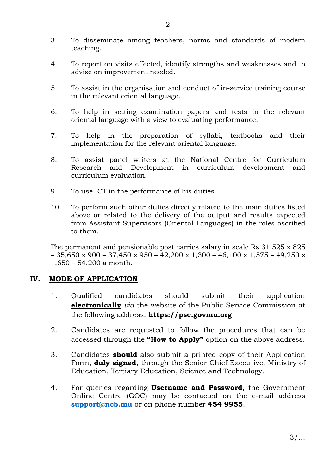- 3. To disseminate among teachers, norms and standards of modern teaching.
- 4. To report on visits effected, identify strengths and weaknesses and to advise on improvement needed.
- 5. To assist in the organisation and conduct of in-service training course in the relevant oriental language.
- 6. To help in setting examination papers and tests in the relevant oriental language with a view to evaluating performance.
- 7. To help in the preparation of syllabi, textbooks and their implementation for the relevant oriental language.
- 8. To assist panel writers at the National Centre for Curriculum Research and Development in curriculum development and curriculum evaluation.
- 9. To use ICT in the performance of his duties.
- 10. To perform such other duties directly related to the main duties listed above or related to the delivery of the output and results expected from Assistant Supervisors (Oriental Languages) in the roles ascribed to them.

The permanent and pensionable post carries salary in scale Rs 31,525 x 825  $-35,650 \times 900 - 37,450 \times 950 - 42,200 \times 1,300 - 46,100 \times 1,575 - 49,250 \times 1,555$ 1,650 – 54,200 a month.

### **IV. MODE OF APPLICATION**

- 1. Qualified candidates should submit their application **electronically** *via* the website of the Public Service Commission at the following address: **https://psc.govmu.org**
- 2. Candidates are requested to follow the procedures that can be accessed through the **"How to Apply"** option on the above address.
- 3. Candidates **should** also submit a printed copy of their Application Form, **duly signed**, through the Senior Chief Executive, Ministry of Education, Tertiary Education, Science and Technology.
- 4. For queries regarding **Username and Password**, the Government Online Centre (GOC) may be contacted on the e-mail address **[support@ncb.mu](mailto:support@ncb.mu)** or on phone number **454 9955**.